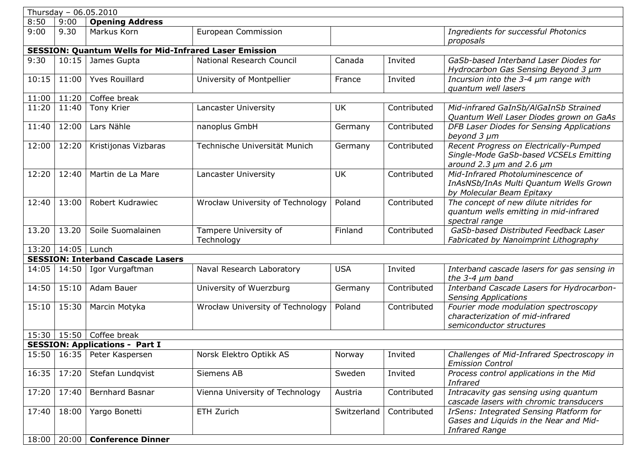| Thursday - 06.05.2010                                         |                       |                                          |                                     |             |             |                                                                                                                        |  |  |  |
|---------------------------------------------------------------|-----------------------|------------------------------------------|-------------------------------------|-------------|-------------|------------------------------------------------------------------------------------------------------------------------|--|--|--|
| 9:00<br><b>Opening Address</b><br>8:50                        |                       |                                          |                                     |             |             |                                                                                                                        |  |  |  |
| 9:00                                                          | 9.30                  | Markus Korn                              | European Commission                 |             |             | Ingredients for successful Photonics<br>proposals                                                                      |  |  |  |
| <b>SESSION: Quantum Wells for Mid-Infrared Laser Emission</b> |                       |                                          |                                     |             |             |                                                                                                                        |  |  |  |
| 9:30                                                          |                       | $10:15$ James Gupta                      | National Research Council           | Canada      | Invited     | GaSb-based Interband Laser Diodes for<br>Hydrocarbon Gas Sensing Beyond 3 µm                                           |  |  |  |
| 10:15                                                         | 11:00                 | <b>Yves Rouillard</b>                    | University of Montpellier           | France      | Invited     | Incursion into the $3-4$ µm range with<br>quantum well lasers                                                          |  |  |  |
| 11:00                                                         | 11:20                 | Coffee break                             |                                     |             |             |                                                                                                                        |  |  |  |
| 11:20                                                         | 11:40                 | Tony Krier                               | Lancaster University                | <b>UK</b>   | Contributed | Mid-infrared GaInSb/AlGaInSb Strained<br>Quantum Well Laser Diodes grown on GaAs                                       |  |  |  |
| 11:40                                                         | 12:00                 | Lars Nähle                               | nanoplus GmbH                       | Germany     | Contributed | DFB Laser Diodes for Sensing Applications<br>beyond 3 µm                                                               |  |  |  |
| 12:00                                                         | 12:20                 | Kristijonas Vizbaras                     | Technische Universität Munich       | Germany     | Contributed | Recent Progress on Electrically-Pumped<br>Single-Mode GaSb-based VCSELs Emitting<br>around 2.3 $\mu$ m and 2.6 $\mu$ m |  |  |  |
| 12:20                                                         | 12:40                 | Martin de La Mare                        | Lancaster University                | <b>UK</b>   | Contributed | Mid-Infrared Photoluminescence of<br>InAsNSb/InAs Multi Quantum Wells Grown<br>by Molecular Beam Epitaxy               |  |  |  |
| 12:40                                                         | 13:00                 | Robert Kudrawiec                         | Wrocław University of Technology    | Poland      | Contributed | The concept of new dilute nitrides for<br>quantum wells emitting in mid-infrared<br>spectral range                     |  |  |  |
| 13.20                                                         | 13.20                 | Soile Suomalainen                        | Tampere University of<br>Technology | Finland     | Contributed | GaSb-based Distributed Feedback Laser<br>Fabricated by Nanoimprint Lithography                                         |  |  |  |
|                                                               | 13:20   14:05   Lunch |                                          |                                     |             |             |                                                                                                                        |  |  |  |
|                                                               |                       | <b>SESSION: Interband Cascade Lasers</b> |                                     |             |             |                                                                                                                        |  |  |  |
| 14:05                                                         |                       | 14:50   Igor Vurgaftman                  | Naval Research Laboratory           | <b>USA</b>  | Invited     | Interband cascade lasers for gas sensing in<br>the $3-4 \mu m$ band                                                    |  |  |  |
| 14:50                                                         | 15:10                 | Adam Bauer                               | University of Wuerzburg             | Germany     | Contributed | Interband Cascade Lasers for Hydrocarbon-<br><b>Sensing Applications</b>                                               |  |  |  |
| 15:10                                                         | 15:30                 | Marcin Motyka                            | Wrocław University of Technology    | Poland      | Contributed | Fourier mode modulation spectroscopy<br>characterization of mid-infrared<br>semiconductor structures                   |  |  |  |
|                                                               |                       | 15:30   15:50   Coffee break             |                                     |             |             |                                                                                                                        |  |  |  |
|                                                               |                       | <b>SESSION: Applications - Part I</b>    |                                     |             |             |                                                                                                                        |  |  |  |
|                                                               | 15:50   16:35         | Peter Kaspersen                          | Norsk Elektro Optikk AS             | Norway      | Invited     | Challenges of Mid-Infrared Spectroscopy in<br><b>Emission Control</b>                                                  |  |  |  |
| 16:35                                                         | 17:20                 | Stefan Lundqvist                         | Siemens AB                          | Sweden      | Invited     | Process control applications in the Mid<br><b>Infrared</b>                                                             |  |  |  |
| 17:20                                                         | 17:40                 | <b>Bernhard Basnar</b>                   | Vienna University of Technology     | Austria     | Contributed | Intracavity gas sensing using quantum<br>cascade lasers with chromic transducers                                       |  |  |  |
| 17:40                                                         | 18:00                 | Yargo Bonetti                            | ETH Zurich                          | Switzerland | Contributed | IrSens: Integrated Sensing Platform for<br>Gases and Liquids in the Near and Mid-<br><b>Infrared Range</b>             |  |  |  |
| 18:00                                                         | 20:00                 | <b>Conference Dinner</b>                 |                                     |             |             |                                                                                                                        |  |  |  |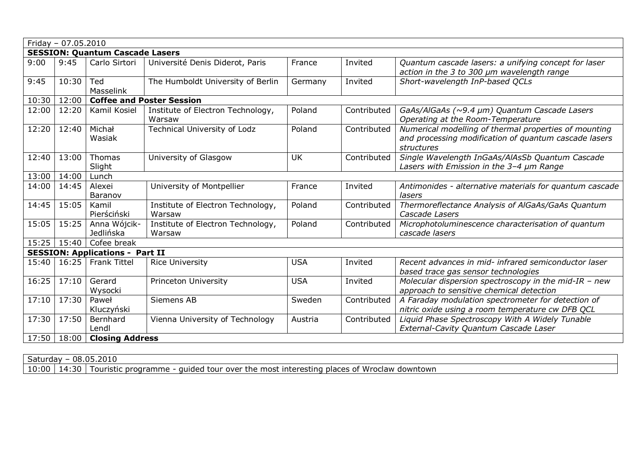|                                        | Friday - 07.05.2010 |                                        |                                             |            |             |                                                                                                                              |  |  |  |
|----------------------------------------|---------------------|----------------------------------------|---------------------------------------------|------------|-------------|------------------------------------------------------------------------------------------------------------------------------|--|--|--|
| <b>SESSION: Quantum Cascade Lasers</b> |                     |                                        |                                             |            |             |                                                                                                                              |  |  |  |
| 9:00                                   | 9:45                | Carlo Sirtori                          | Université Denis Diderot, Paris             | France     | Invited     | Quantum cascade lasers: a unifying concept for laser<br>action in the 3 to 300 µm wavelength range                           |  |  |  |
| 9:45                                   | 10:30               | Ted<br>Masselink                       | The Humboldt University of Berlin           | Germany    | Invited     | Short-wavelength InP-based QCLs                                                                                              |  |  |  |
| 10:30                                  | 12:00               | <b>Coffee and Poster Session</b>       |                                             |            |             |                                                                                                                              |  |  |  |
| 12:00                                  | 12:20               | Kamil Kosiel                           | Institute of Electron Technology,<br>Warsaw | Poland     | Contributed | GaAs/AlGaAs (~9.4 µm) Quantum Cascade Lasers<br>Operating at the Room-Temperature                                            |  |  |  |
| 12:20                                  | 12:40               | Michał<br>Wasiak                       | Technical University of Lodz                | Poland     | Contributed | Numerical modelling of thermal properties of mounting<br>and processing modification of quantum cascade lasers<br>structures |  |  |  |
| 12:40                                  | 13:00               | Thomas<br>Slight                       | University of Glasgow                       | <b>UK</b>  | Contributed | Single Wavelength InGaAs/AlAsSb Quantum Cascade<br>Lasers with Emission in the 3-4 um Range                                  |  |  |  |
| 13:00                                  | 14:00               | Lunch                                  |                                             |            |             |                                                                                                                              |  |  |  |
| 14:00                                  | 14:45               | Alexei<br>Baranov                      | University of Montpellier                   | France     | Invited     | Antimonides - alternative materials for quantum cascade<br>lasers                                                            |  |  |  |
| 14:45                                  | 15:05               | Kamil<br>Pierściński                   | Institute of Electron Technology,<br>Warsaw | Poland     | Contributed | Thermoreflectance Analysis of AlGaAs/GaAs Quantum<br>Cascade Lasers                                                          |  |  |  |
| 15:05                                  | 15:25               | Anna Wójcik-<br>Jedlińska              | Institute of Electron Technology,<br>Warsaw | Poland     | Contributed | Microphotoluminescence characterisation of quantum<br>cascade lasers                                                         |  |  |  |
|                                        |                     | 15:25   15:40   Cofee break            |                                             |            |             |                                                                                                                              |  |  |  |
|                                        |                     | <b>SESSION: Applications - Part II</b> |                                             |            |             |                                                                                                                              |  |  |  |
| 15:40                                  |                     | 16:25   Frank Tittel                   | <b>Rice University</b>                      | <b>USA</b> | Invited     | Recent advances in mid- infrared semiconductor laser<br>based trace gas sensor technologies                                  |  |  |  |
| 16:25                                  | 17:10               | Gerard<br>Wysocki                      | Princeton University                        | <b>USA</b> | Invited     | Molecular dispersion spectroscopy in the mid-IR - new<br>approach to sensitive chemical detection                            |  |  |  |
| 17:10                                  | 17:30               | Paweł<br>Kluczyński                    | Siemens AB                                  | Sweden     | Contributed | A Faraday modulation spectrometer for detection of<br>nitric oxide using a room temperature cw DFB QCL                       |  |  |  |
| 17:30                                  | 17:50               | Bernhard<br>Lendl                      | Vienna University of Technology             | Austria    | Contributed | Liquid Phase Spectroscopy With A Widely Tunable<br>External-Cavity Quantum Cascade Laser                                     |  |  |  |
| 17:50                                  |                     | 18:00   Closing Address                |                                             |            |             |                                                                                                                              |  |  |  |

| 08.05.2010<br>Saturday |                    |                                                                                                  |  |  |
|------------------------|--------------------|--------------------------------------------------------------------------------------------------|--|--|
| 10:00                  | ∷30⊹<br>$14 \cdot$ | - guided tour over the most interesting places of Wroclaw downtown<br><b>Touristic programme</b> |  |  |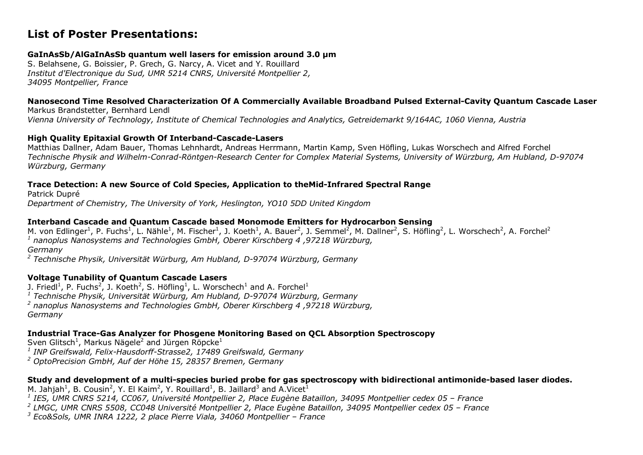# **List of Poster Presentations:**

#### **GaInAsSb/AlGaInAsSb quantum well lasers for emission around 3.0 µm**

S. Belahsene, G. Boissier, P. Grech, G. Narcy, A. Vicet and Y. Rouillard *Institut d'Electronique du Sud, UMR 5214 CNRS, Université Montpellier 2, 34095 Montpellier, France*

### **Nanosecond Time Resolved Characterization Of A Commercially Available Broadband Pulsed External-Cavity Quantum Cascade Laser**

Markus Brandstetter, Bernhard Lendl *Vienna University of Technology, Institute of Chemical Technologies and Analytics, Getreidemarkt 9/164AC, 1060 Vienna, Austria*

### **High Quality Epitaxial Growth Of Interband-Cascade-Lasers**

Matthias Dallner, Adam Bauer, Thomas Lehnhardt, Andreas Herrmann, Martin Kamp, Sven Höfling, Lukas Worschech and Alfred Forchel *Technische Physik and Wilhelm-Conrad-Röntgen-Research Center for Complex Material Systems, University of Würzburg, Am Hubland, D-97074 Würzburg, Germany*

## **Trace Detection: A new Source of Cold Species, Application to theMid-Infrared Spectral Range**

Patrick Dupré *Department of Chemistry, The University of York, Heslington, YO10 5DD United Kingdom*

### **Interband Cascade and Quantum Cascade based Monomode Emitters for Hydrocarbon Sensing**

M. von Edlinger<sup>1</sup>, P. Fuchs<sup>1</sup>, L. Nähle<sup>1</sup>, M. Fischer<sup>1</sup>, J. Koeth<sup>1</sup>, A. Bauer<sup>2</sup>, J. Semmel<sup>2</sup>, M. Dallner<sup>2</sup>, S. Höfling<sup>2</sup>, L. Worschech<sup>2</sup>, A. Forchel<sup>2</sup> *<sup>1</sup> nanoplus Nanosystems and Technologies GmbH, Oberer Kirschberg 4 ,97218 Würzburg, Germany*

*<sup>2</sup> Technische Physik, Universität Würburg, Am Hubland, D-97074 Würzburg, Germany*

### **Voltage Tunability of Quantum Cascade Lasers**

J. Friedl<sup>1</sup>, P. Fuchs<sup>2</sup>, J. Koeth<sup>2</sup>, S. Höfling<sup>1</sup>, L. Worschech<sup>1</sup> and A. Forchel<sup>1</sup>

*<sup>1</sup> Technische Physik, Universität Würburg, Am Hubland, D-97074 Würzburg, Germany*

*<sup>2</sup> nanoplus Nanosystems and Technologies GmbH, Oberer Kirschberg 4 ,97218 Würzburg, Germany*

# **Industrial Trace-Gas Analyzer for Phosgene Monitoring Based on QCL Absorption Spectroscopy**

Sven Glitsch<sup>1</sup>, Markus Nägele<sup>2</sup> and Jürgen Röpcke<sup>1</sup>

*1 INP Greifswald, Felix-Hausdorff-Strasse2, 17489 Greifswald, Germany*

*<sup>2</sup> OptoPrecision GmbH, Auf der Höhe 15, 28357 Bremen, Germany*

## **Study and development of a multi-species buried probe for gas spectroscopy with bidirectional antimonide-based laser diodes.**

M. Jahjah<sup>1</sup>, B. Cousin<sup>2</sup>, Y. El Kaim<sup>2</sup>, Y. Rouillard<sup>1</sup>, B. Jaillard<sup>3</sup> and A.Vicet<sup>1</sup>

*1 IES, UMR CNRS 5214, CC067, Université Montpellier 2, Place Eugène Bataillon, 34095 Montpellier cedex 05 – France*

*2 LMGC, UMR CNRS 5508, CC048 Université Montpellier 2, Place Eugène Bataillon, 34095 Montpellier cedex 05 – France*

*<sup>3</sup> Eco&Sols, UMR INRA 1222, 2 place Pierre Viala, 34060 Montpellier – France*